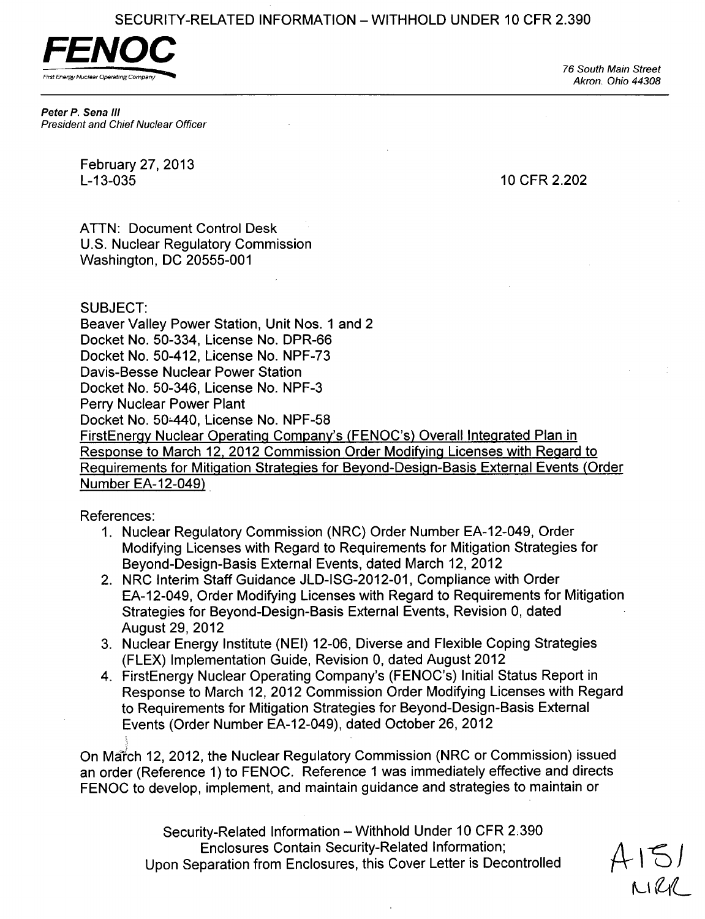SECURITY-RELATED INFORMATION – WITHHOLD UNDER 10 CFR 2.390



*76 South Main Street Akron. Ohio 44308*

*Peter P. Sena II/ President and Chief Nuclear Officer*

February 27, 2013<br>L-13-035

10 CFR 2.202

ATTN: Document Control Desk U.S. Nuclear Regulatory Commission Washington, DC 20555-001

## SUBJECT:

Beaver Valley Power Station, Unit Nos. 1 and 2 Docket No. 50-334, License No. DPR-66 Docket No. 50-412, License No. NPF-73 Davis-Besse Nuclear Power Station Docket No. 50-346, License No. NPF-3 Perry Nuclear Power Plant Docket No. 50-440, License No. NPF-58 FirstEnergy Nuclear Operating Company's (FENOC's) Overall Integrated Plan in Response to March 12, 2012 Commission Order Modifying Licenses with Regard to Requirements for Mitigation Strategies for Beyond-Design-Basis External Events (Order Number EA-12-049)

References:

- 1. Nuclear Regulatory Commission (NRC) Order Number EA-12-049, Order Modifying Licenses with Regard to Requirements for Mitigation Strategies for Beyond-Design-Basis External Events, dated March 12, 2012
- 2. NRC Interim Staff Guidance JLD-ISG-2012-01, Compliance with Order EA-12-049, Order Modifying Licenses with Regard to Requirements for Mitigation Strategies for Beyond-Design-Basis External Events, Revision 0, dated August 29, 2012
- 3. Nuclear Energy Institute (NEI) 12-06, Diverse and Flexible Coping Strategies (FLEX) Implementation Guide, Revision 0, dated August 2012
- 4. FirstEnergy Nuclear Operating Company's (FENOC's) Initial Status Report in Response to March 12, 2012 Commission Order Modifying Licenses with Regard to Requirements for Mitigation Strategies for Beyond-Design-Basis External Events (Order Number EA-12-049), dated October 26, 2012

On March 12, 2012, the Nuclear Regulatory Commission (NRC or Commission) issued an order (Reference 1) to FENOC. Reference **1** was immediately effective and directs FENOC to develop, implement, and maintain guidance and strategies to maintain or

> Security-Related Information - Withhold Under 10 CFR 2.390 Enclosures Contain Security-Related Information; Upon Separation from Enclosures, this Cover Letter is Decontrolled

 $A151$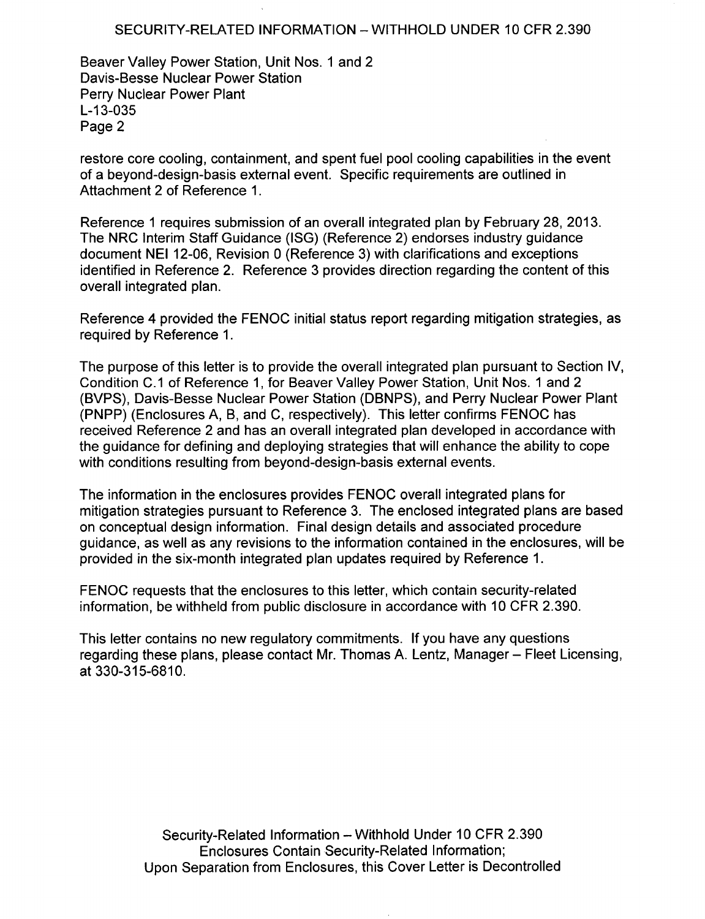## SECURITY-RELATED INFORMATION - WITHHOLD UNDER 10 CFR 2.390

Beaver Valley Power Station, Unit Nos. **1** and 2 Davis-Besse Nuclear Power Station Perry Nuclear Power Plant L-13-035 Page 2

restore core cooling, containment, and spent fuel pool cooling capabilities in the event of a beyond-design-basis external event. Specific requirements are outlined in Attachment 2 of Reference 1.

Reference **1** requires submission of an overall integrated plan by February 28, 2013. The NRC Interim Staff Guidance (ISG) (Reference 2) endorses industry guidance document NEI 12-06, Revision 0 (Reference 3) with clarifications and exceptions identified in Reference 2. Reference 3 provides direction regarding the content of this overall integrated plan.

Reference 4 provided the FENOC initial status report regarding mitigation strategies, as required by Reference 1.

The purpose of this letter is to provide the overall integrated plan pursuant to Section IV, Condition C.1 of Reference 1, for Beaver Valley Power Station, Unit Nos. 1 and 2 (BVPS), Davis-Besse Nuclear Power Station (DBNPS), and Perry Nuclear Power Plant (PNPP) (Enclosures A, B, and C, respectively). This letter confirms FENOC has received Reference 2 and has an overall integrated plan developed in accordance with the guidance for defining and deploying strategies that will enhance the ability to cope with conditions resulting from beyond-design-basis external events.

The information in the enclosures provides FENOC overall integrated plans for mitigation strategies pursuant to Reference 3. The enclosed integrated plans are based on conceptual design information. Final design details and associated procedure guidance, as well as any revisions to the information contained in the enclosures, will be provided in the six-month integrated plan updates required by Reference 1.

FENOC requests that the enclosures to this letter, which contain security-related information, be withheld from public disclosure in accordance with 10 CFR 2.390.

This letter contains no new regulatory commitments. If you have any questions regarding these plans, please contact Mr. Thomas A. Lentz, Manager – Fleet Licensing, at 330-315-6810.

> Security-Related Information - Withhold Under 10 CFR 2.390 Enclosures Contain Security-Related Information; Upon Separation from Enclosures, this Cover Letter is Decontrolled